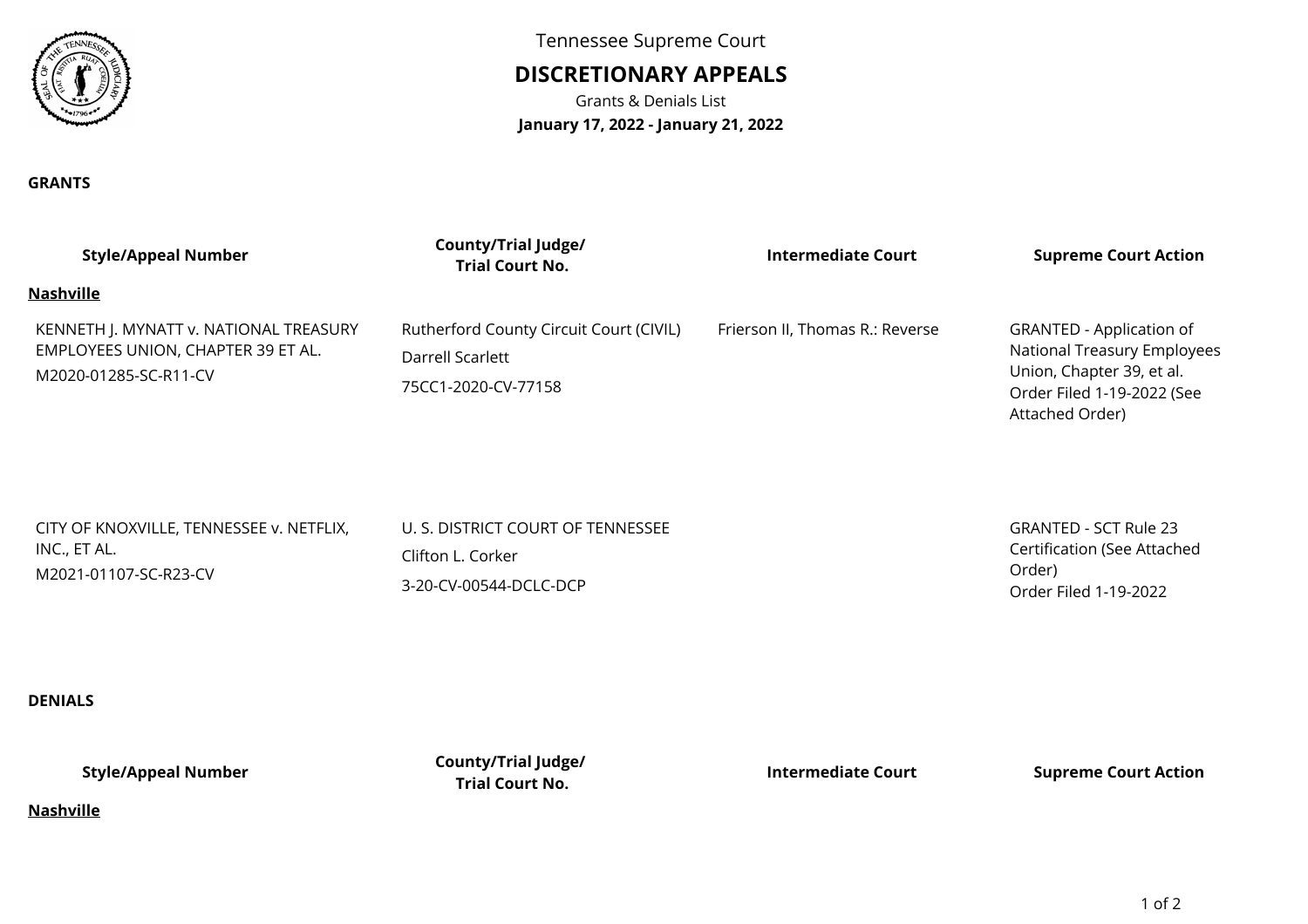

**GRANTS**

Tennessee Supreme Court

# **DISCRETIONARY APPEALS**

Grants & Denials List**January 17, 2022 - January 21, 2022**

| <b>Style/Appeal Number</b>                                                                            | <b>County/Trial Judge/</b><br><b>Trial Court No.</b>                               | <b>Intermediate Court</b>       | <b>Supreme Court Action</b>                                                                                                                  |
|-------------------------------------------------------------------------------------------------------|------------------------------------------------------------------------------------|---------------------------------|----------------------------------------------------------------------------------------------------------------------------------------------|
| <b>Nashville</b>                                                                                      |                                                                                    |                                 |                                                                                                                                              |
| KENNETH J. MYNATT v. NATIONAL TREASURY<br>EMPLOYEES UNION, CHAPTER 39 ET AL.<br>M2020-01285-SC-R11-CV | Rutherford County Circuit Court (CIVIL)<br>Darrell Scarlett<br>75CC1-2020-CV-77158 | Frierson II, Thomas R.: Reverse | <b>GRANTED - Application of</b><br>National Treasury Employees<br>Union, Chapter 39, et al.<br>Order Filed 1-19-2022 (See<br>Attached Order) |
| CITY OF KNOXVILLE, TENNESSEE v. NETFLIX,<br>INC., ET AL.<br>M2021-01107-SC-R23-CV                     | U. S. DISTRICT COURT OF TENNESSEE<br>Clifton L. Corker<br>3-20-CV-00544-DCLC-DCP   |                                 | <b>GRANTED - SCT Rule 23</b><br><b>Certification (See Attached</b><br>Order)<br>Order Filed 1-19-2022                                        |
| <b>DENIALS</b>                                                                                        |                                                                                    |                                 |                                                                                                                                              |
| <b>Style/Appeal Number</b>                                                                            | <b>County/Trial Judge/</b><br><b>Trial Court No.</b>                               | <b>Intermediate Court</b>       | <b>Supreme Court Action</b>                                                                                                                  |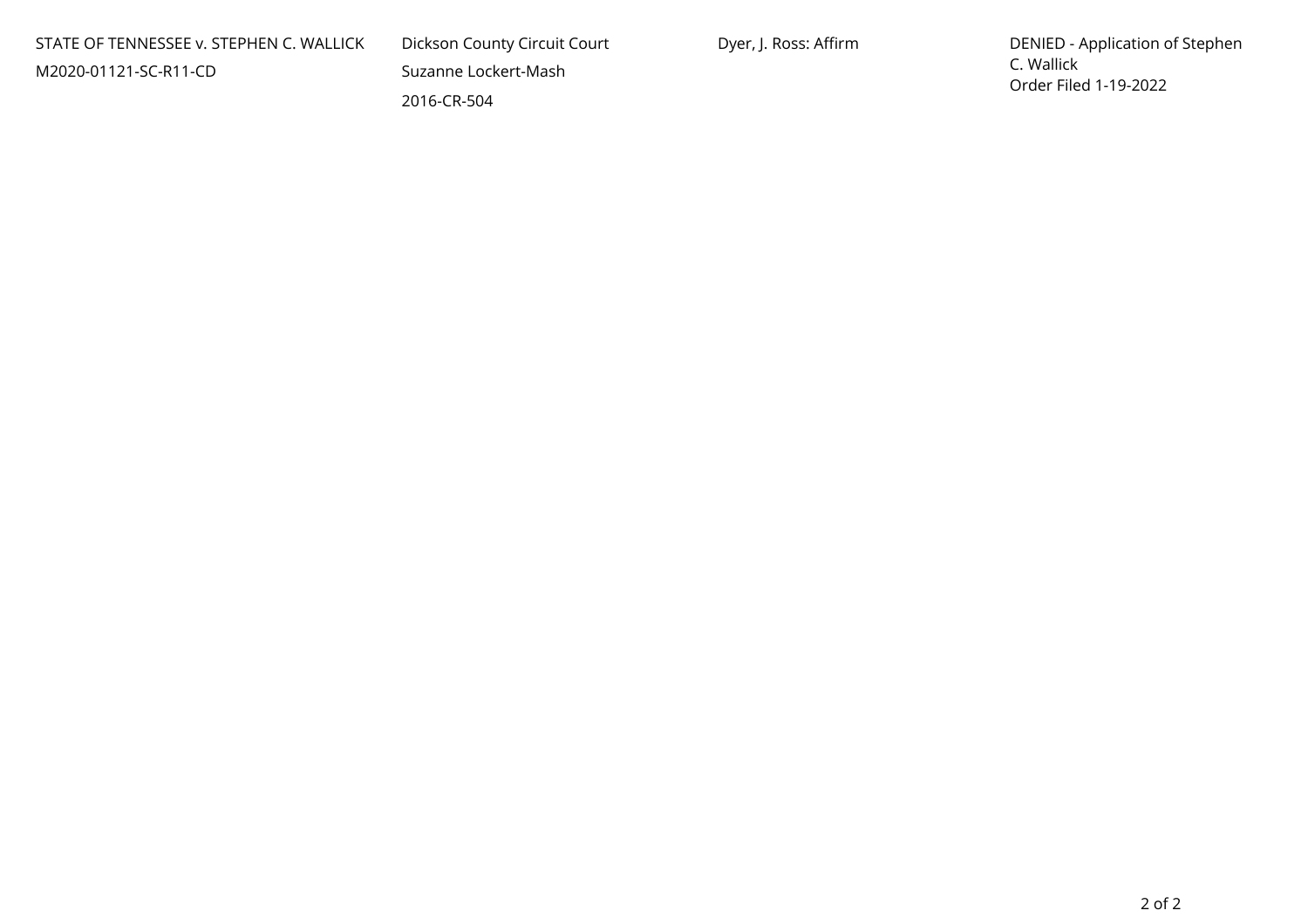| STATE OF TENNESSEE v. STEPHEN C. WALLICK |  |
|------------------------------------------|--|
| M2020-01121-SC-R11-CD                    |  |

 Dickson County Circuit Court Suzanne Lockert-Mash2016-CR-504

 DENIED - Application of Stephen C. WallickOrder Filed 1-19-2022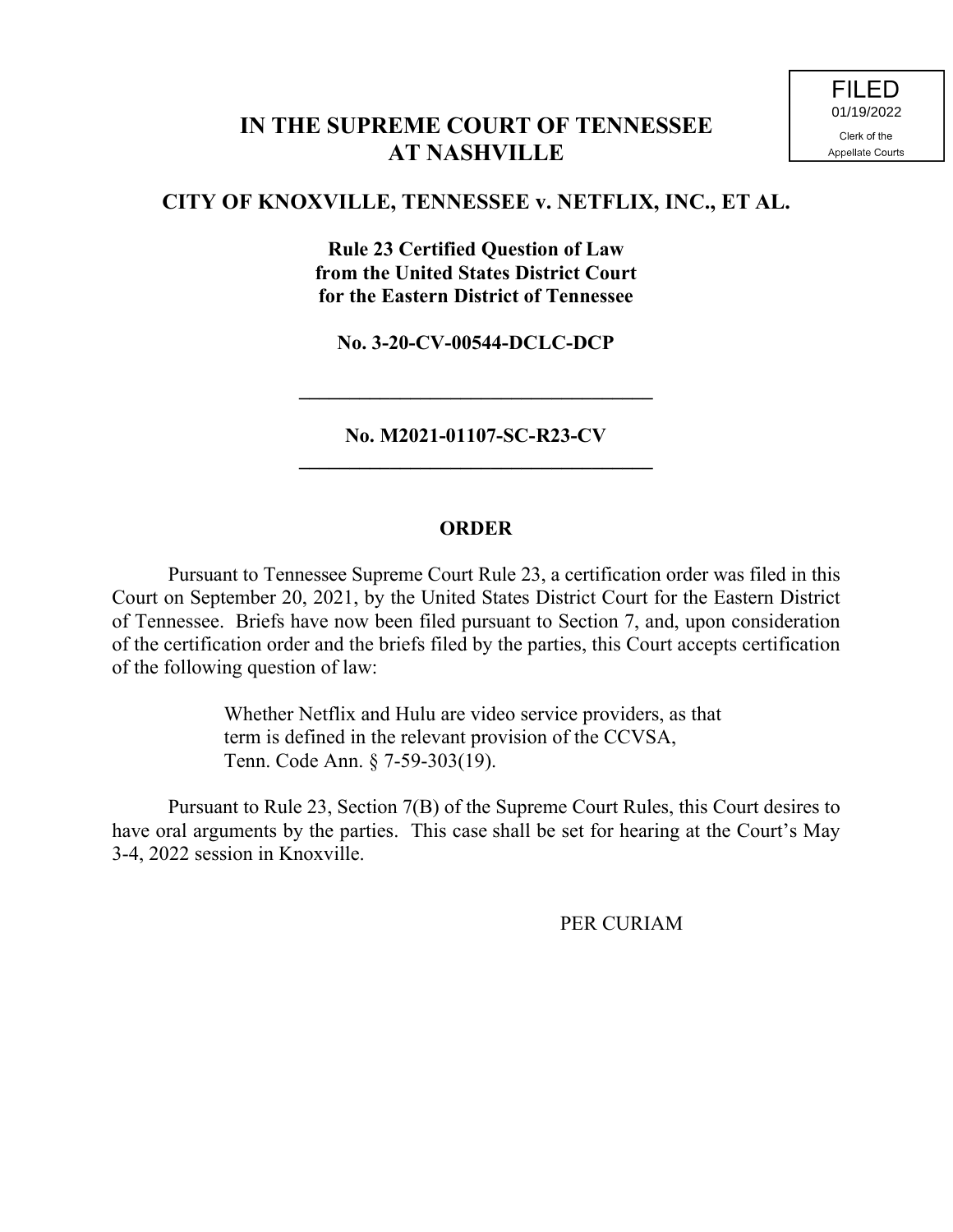## **IN THE SUPREME COURT OF TENNESSEE AT NASHVILLE**

### **CITY OF KNOXVILLE, TENNESSEE v. NETFLIX, INC., ET AL.**

**Rule 23 Certified Question of Law from the United States District Court for the Eastern District of Tennessee**

**No. 3-20-CV-00544-DCLC-DCP**

**No. M2021-01107-SC-R23-CV \_\_\_\_\_\_\_\_\_\_\_\_\_\_\_\_\_\_\_\_\_\_\_\_\_\_\_\_\_\_\_\_\_\_\_**

**\_\_\_\_\_\_\_\_\_\_\_\_\_\_\_\_\_\_\_\_\_\_\_\_\_\_\_\_\_\_\_\_\_\_\_**

#### **ORDER**

Pursuant to Tennessee Supreme Court Rule 23, a certification order was filed in this Court on September 20, 2021, by the United States District Court for the Eastern District of Tennessee. Briefs have now been filed pursuant to Section 7, and, upon consideration of the certification order and the briefs filed by the parties, this Court accepts certification of the following question of law:

> Whether Netflix and Hulu are video service providers, as that term is defined in the relevant provision of the CCVSA, Tenn. Code Ann. § 7-59-303(19).

Pursuant to Rule 23, Section 7(B) of the Supreme Court Rules, this Court desires to have oral arguments by the parties. This case shall be set for hearing at the Court's May 3-4, 2022 session in Knoxville.

PER CURIAM